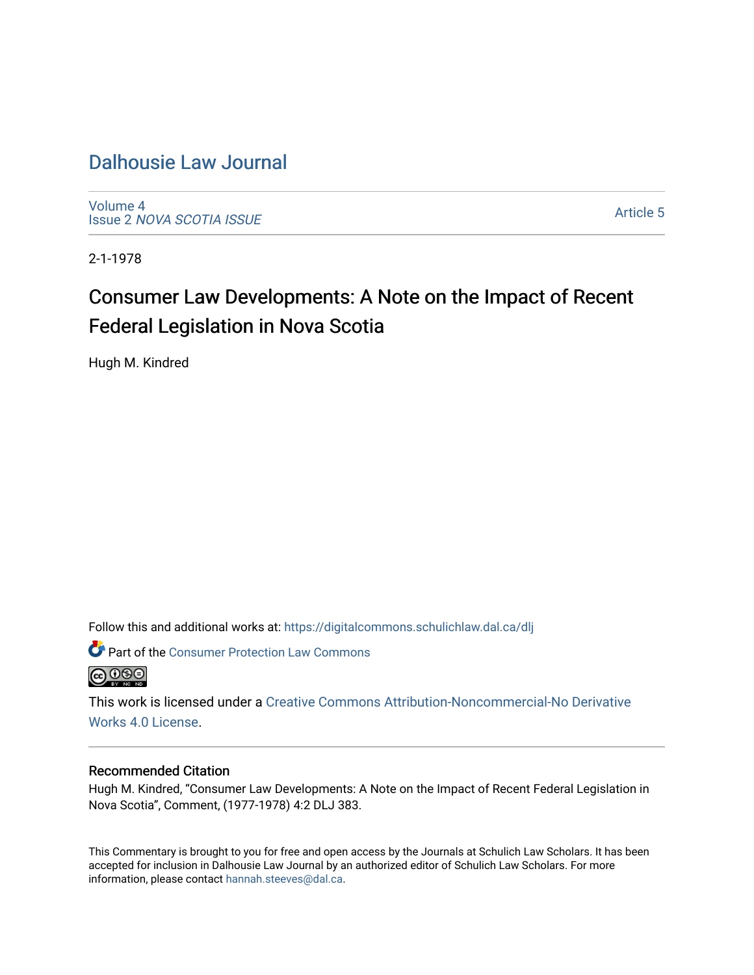# [Dalhousie Law Journal](https://digitalcommons.schulichlaw.dal.ca/dlj)

[Volume 4](https://digitalcommons.schulichlaw.dal.ca/dlj/vol4) Issue 2 [NOVA SCOTIA ISSUE](https://digitalcommons.schulichlaw.dal.ca/dlj/vol4/iss2) 

[Article 5](https://digitalcommons.schulichlaw.dal.ca/dlj/vol4/iss2/5) 

2-1-1978

# Consumer Law Developments: A Note on the Impact of Recent Federal Legislation in Nova Scotia

Hugh M. Kindred

Follow this and additional works at: [https://digitalcommons.schulichlaw.dal.ca/dlj](https://digitalcommons.schulichlaw.dal.ca/dlj?utm_source=digitalcommons.schulichlaw.dal.ca%2Fdlj%2Fvol4%2Fiss2%2F5&utm_medium=PDF&utm_campaign=PDFCoverPages) 

**Part of the Consumer Protection Law Commons @** 000

This work is licensed under a [Creative Commons Attribution-Noncommercial-No Derivative](https://creativecommons.org/licenses/by-nc-nd/4.0/)  [Works 4.0 License](https://creativecommons.org/licenses/by-nc-nd/4.0/).

#### Recommended Citation

Hugh M. Kindred, "Consumer Law Developments: A Note on the Impact of Recent Federal Legislation in Nova Scotia", Comment, (1977-1978) 4:2 DLJ 383.

This Commentary is brought to you for free and open access by the Journals at Schulich Law Scholars. It has been accepted for inclusion in Dalhousie Law Journal by an authorized editor of Schulich Law Scholars. For more information, please contact [hannah.steeves@dal.ca](mailto:hannah.steeves@dal.ca).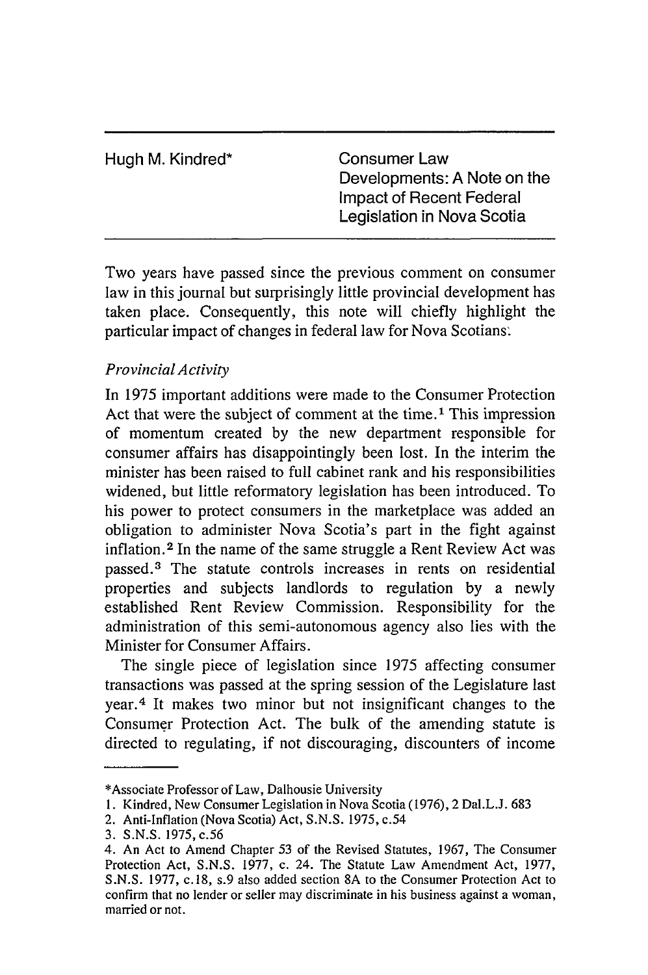| Hugh M. Kindred* | Consumer Law<br>Developments: A Note on the<br>Impact of Recent Federal<br>Legislation in Nova Scotia |
|------------------|-------------------------------------------------------------------------------------------------------|
|                  |                                                                                                       |

Two years have passed since the previous comment on consumer law in this journal but surprisingly little provincial development has taken place. Consequently, this note will chiefly highlight the particular impact of changes in federal law for Nova Scotians.

## *Provincial Activity*

In 1975 important additions were made to the Consumer Protection Act that were the subject of comment at the time.<sup>1</sup> This impression of momentum created by the new department responsible for consumer affairs has disappointingly been lost. In the interim the minister has been raised to full cabinet rank and his responsibilities widened, but little reformatory legislation has been introduced. To his power to protect consumers in the marketplace was added an obligation to administer Nova Scotia's part in the fight against inflation. 2 In the name of the same struggle a Rent Review Act was passed. 3 The statute controls increases in rents on residential properties and subjects landlords to regulation by a newly established Rent Review Commission. Responsibility for the administration of this semi-autonomous agency also lies with the Minister for Consumer Affairs.

The single piece of legislation since 1975 affecting consumer transactions was passed at the spring session of the Legislature last year.4 It makes two minor but not insignificant changes to the Consumer Protection Act. The bulk of the amending statute is directed to regulating, if not discouraging, discounters of income

<sup>\*</sup>Associate Professor of Law, Dalhousie University

<sup>1.</sup> Kindred, New Consumer Legislation in Nova Scotia (1976), 2 Dal.L.J. 683

<sup>2.</sup> Anti-Inflation (Nova Scotia) Act, S.N.S. 1975, c.54

<sup>3.</sup> S.N.S. 1975, c.56

<sup>4.</sup> An Act to Amend Chapter 53 of the Revised Statutes, 1967, The Consumer Protection Act, S.N.S. 1977, c. 24. The Statute Law Amendment Act, 1977, S.N.S. 1977, c. 18, s.9 also added section 8A to the Consumer Protection Act to confirm that no lender or seller may discriminate in his business against a woman, married or not.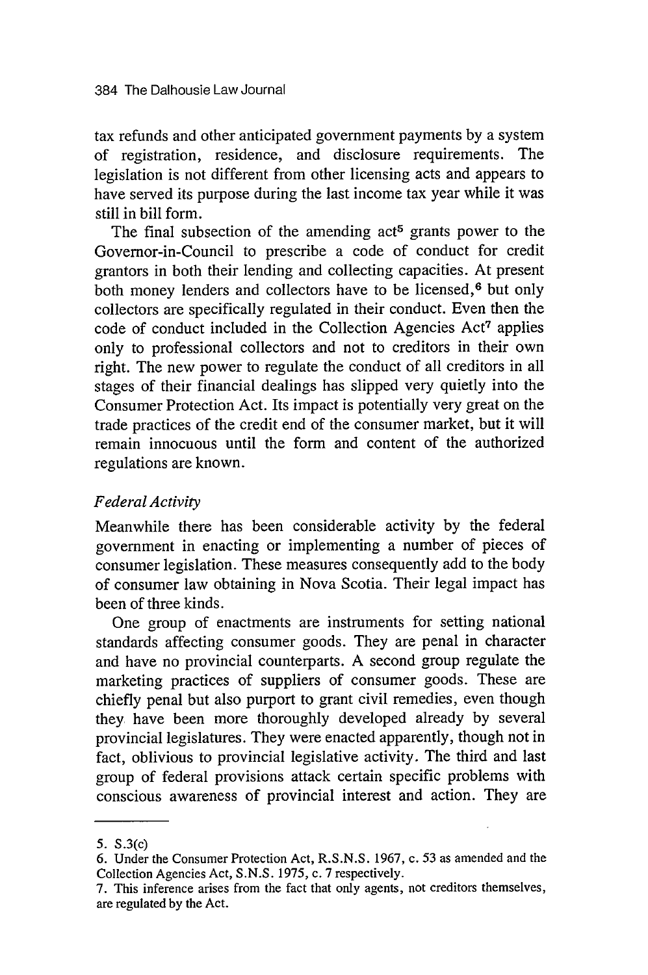tax refunds and other anticipated government payments by a system of registration, residence, and disclosure requirements. The legislation is not different from other licensing acts and appears to have served its purpose during the last income tax year while it was still in bill form.

The final subsection of the amending  $act<sup>5</sup>$  grants power to the Governor-in-Council to prescribe a code of conduct for credit grantors in both their lending and collecting capacities. At present both money lenders and collectors have to be licensed,<sup>6</sup> but only collectors are specifically regulated in their conduct. Even then the code of conduct included in the Collection Agencies Act<sup>7</sup> applies only to professional collectors and not to creditors in their own right. The new power to regulate the conduct of all creditors in all stages of their financial dealings has slipped very quietly into the Consumer Protection Act. Its impact is potentially very great on the trade practices of the credit end of the consumer market, but it will remain innocuous until the form and content of the authorized regulations are known.

### *Federal Activity*

Meanwhile there has been considerable activity by the federal government in enacting or implementing a number of pieces of consumer legislation. These measures consequently add to the body of consumer law obtaining in Nova Scotia. Their legal impact has been of three kinds.

One group of enactments are instruments for setting national standards affecting consumer goods. They are penal in character and have no provincial counterparts. A second group regulate the marketing practices of suppliers of consumer goods. These are chiefly penal but also purport to grant civil remedies, even though they have been more thoroughly developed already by several provincial legislatures. They were enacted apparently, though not in fact, oblivious to provincial legislative activity. The third and last group of federal provisions attack certain specific problems with conscious awareness of provincial interest and action. They are

<sup>5.</sup> S.3(c)

<sup>6.</sup> Under the Consumer Protection Act, R.S.N.S. 1967, c. 53 as amended and the Collection Agencies Act, S.N.S. 1975, c. 7 respectively.

<sup>7.</sup> This inference arises from the fact that only agents, not creditors themselves, are regulated by the Act.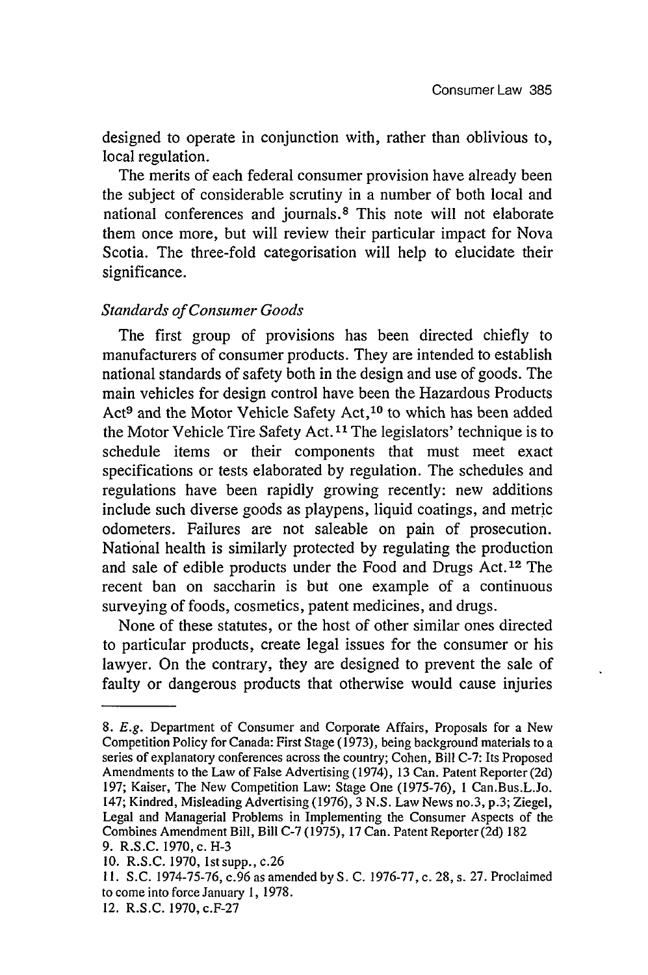designed to operate in conjunction with, rather than oblivious to, local regulation.

The merits of each federal consumer provision have already been the subject of considerable scrutiny in a number of both local and national conferences and journals. 8 This note will not elaborate them once more, but will review their particular impact for Nova Scotia. The three-fold categorisation will help to elucidate their significance.

#### *Standards of Consumer Goods*

The first group of provisions has been directed chiefly to manufacturers of consumer products. They are intended to establish national standards of safety both in the design and use of goods. The main vehicles for design control have been the Hazardous Products Act<sup>9</sup> and the Motor Vehicle Safety Act,<sup>10</sup> to which has been added the Motor Vehicle Tire Safety Act. **11** The legislators' technique is to schedule items or their components that must meet exact specifications or tests elaborated by regulation. The schedules and regulations have been rapidly growing recently: new additions include such diverse goods as playpens, liquid coatings, and metric odometers. Failures are not saleable on pain of prosecution. National health is similarly protected by regulating the production and sale of edible products under the Food and Drugs Act.12 The recent ban on saccharin is but one example of a continuous surveying of foods, cosmetics, patent medicines, and drugs.

None of these statutes, or the host of other similar ones directed to particular products, create legal issues for the consumer or his lawyer. On the contrary, they are designed to prevent the sale of faulty or dangerous products that otherwise would cause injuries

<sup>8.</sup> *E.g.* Department of Consumer and Corporate Affairs, Proposals for a New Competition Policy for Canada: First Stage (1973), being background materials to a series of explanatory conferences across the country; Cohen, Bill C-7: Its Proposed Amendments to the Law of False Advertising (1974), 13 Can. Patent Reporter (2d) 197; Kaiser, The New Competition Law: Stage One (1975-76), **1** Can.Bus.L.Jo. 147; Kindred, Misleading Advertising (1976), 3 N.S. Law News no.3, p.3; Ziegel, Legal and Managerial Problems in Implementing the Consumer Aspects of the Combines Amendment Bill, Bill C-7 (1975), 17 Can. Patent Reporter(2d) 182 9. R.S.C. 1970, c. **H-3**

<sup>10.</sup> R.S.C. 1970, Istsupp., c.26

**<sup>11.</sup>** S.C. 1974-75-76, c.96 as amended by S. C. 1976-77, c. 28, s. 27. Proclaimed to come into force January **1,** 1978.

<sup>12.</sup> R.S.C. 1970, c.F-27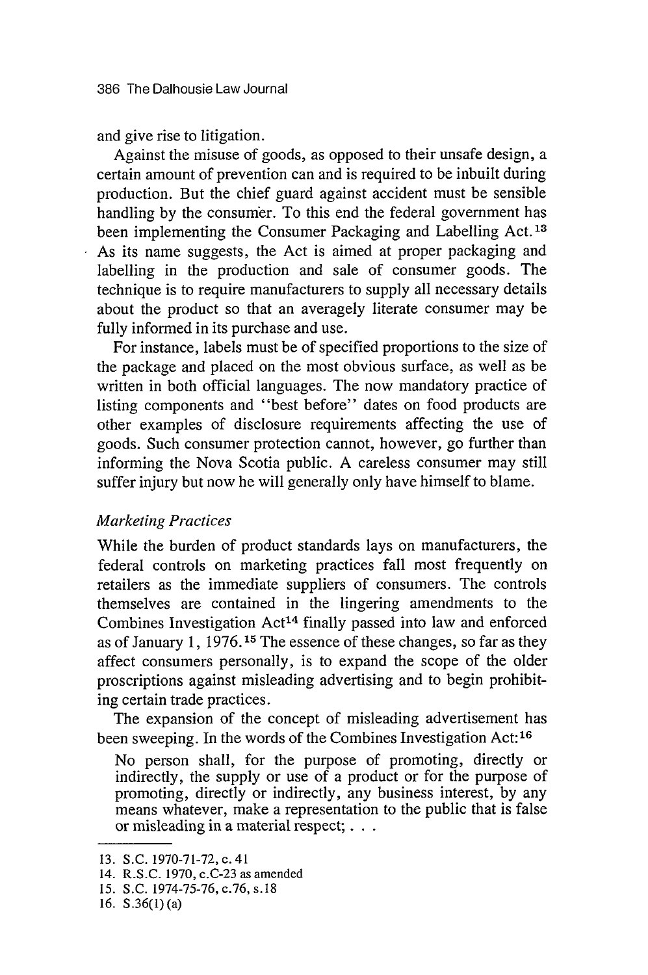and give rise to litigation.

Against the misuse of goods, as opposed to their unsafe design, a certain amount of prevention can and is required to be inbuilt during production. But the chief guard against accident must be sensible handling by the consumer. To this end the federal government has been implementing the Consumer Packaging and Labelling Act.<sup>13</sup> As its name suggests, the Act is aimed at proper packaging and labelling in the production and sale of consumer goods. The technique is to require manufacturers to supply all necessary details about the product so that an averagely literate consumer may be fully informed in its purchase and use.

For instance, labels must be of specified proportions to the size of the package and placed on the most obvious surface, as well as be written in both official languages. The now mandatory practice of listing components and "best before" dates on food products are other examples of disclosure requirements affecting the use of goods. Such consumer protection cannot, however, go further than informing the Nova Scotia public. A careless consumer may still suffer injury but now he will generally only have himself to blame.

#### *Marketing Practices*

While the burden of product standards lays on manufacturers, the federal controls on marketing practices fall most frequently on retailers as the immediate suppliers of consumers. The controls themselves are contained in the lingering amendments to the Combines Investigation Act<sup>14</sup> finally passed into law and enforced as of January 1, 1976.15 The essence of these changes, so far as they affect consumers personally, is to expand the scope of the older proscriptions against misleading advertising and to begin prohibiting certain trade practices.

The expansion of the concept of misleading advertisement has been sweeping. In the words of the Combines Investigation Act:<sup>16</sup>

No person shall, for the purpose of promoting, directly or indirectly, the supply or use of a product or for the purpose of promoting, directly or indirectly, any business interest, by any means whatever, make a representation to the public that is false or misleading in a material respect; **. ..**

<sup>13.</sup> S.C. 1970-71-72, c. 41

<sup>14.</sup> R.S.C. 1970, c.C-23 as amended

**<sup>15.</sup>** S.C. 1974-75-76, c.76, s.18

<sup>16.</sup> S.36(1) (a)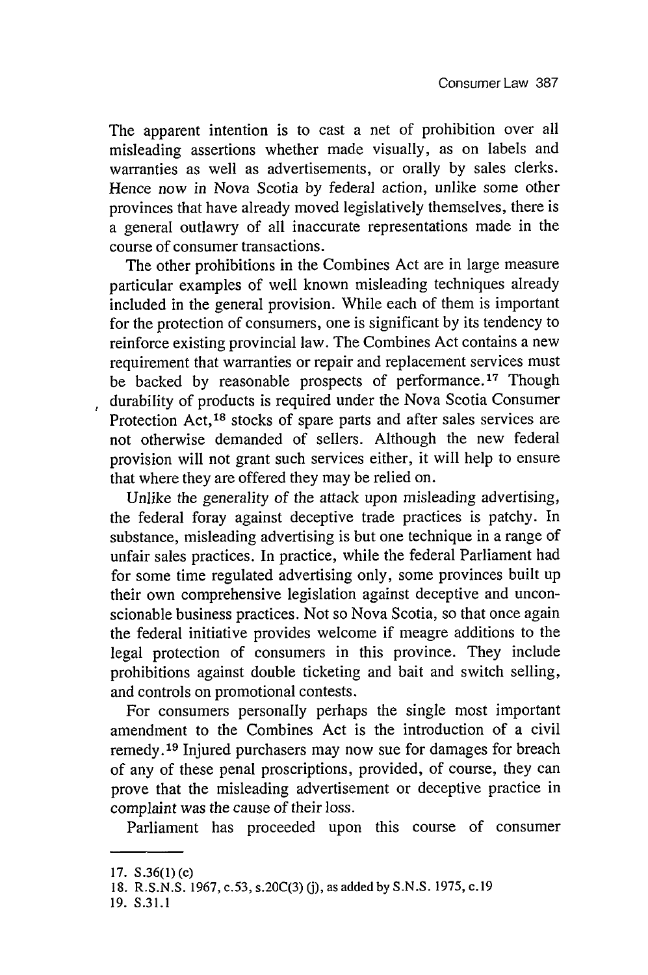The apparent intention is to cast a net of prohibition over all misleading assertions whether made visually, as on labels and warranties as well as advertisements, or orally by sales clerks. Hence now in Nova Scotia by federal action, unlike some other provinces that have already moved legislatively themselves, there is a general outlawry of all inaccurate representations made in the course of consumer transactions.

The other prohibitions in the Combines Act are in large measure particular examples of well known misleading techniques already included in the general provision. While each of them is important for the protection of consumers, one is significant by its tendency to reinforce existing provincial law. The Combines Act contains a new requirement that warranties or repair and replacement services must be backed by reasonable prospects of performance.<sup>17</sup> Though durability of products is required under the Nova Scotia Consumer Protection Act,<sup>18</sup> stocks of spare parts and after sales services are not otherwise demanded of sellers. Although the new federal provision will not grant such services either, it will help to ensure that where they are offered they may be relied on.

Unlike the generality of the attack upon misleading advertising, the federal foray against deceptive trade practices is patchy. In substance, misleading advertising is but one technique in a range of unfair sales practices. In practice, while the federal Parliament had for some time regulated advertising only, some provinces built up their own comprehensive legislation against deceptive and unconscionable business practices. Not so Nova Scotia, so that once again the federal initiative provides welcome if meagre additions to the legal protection of consumers in this province. They include prohibitions against double ticketing and bait and switch selling, and controls on promotional contests.

For consumers personally perhaps the single most important amendment to the Combines Act is the introduction of a civil remedy.<sup>19</sup> Injured purchasers may now sue for damages for breach of any of these penal proscriptions, provided, of course, they can prove that the misleading advertisement or deceptive practice in complaint was the cause of their loss.

Parliament has proceeded upon this course of consumer

**<sup>17.</sup> S.36(1)** (c)

**<sup>18.</sup> R.S.N.S. 1967,** c.53, s.20C(3) **(j),** as added **by S.N.S. 1975,** c. **19**

**<sup>19.</sup> S.31.1**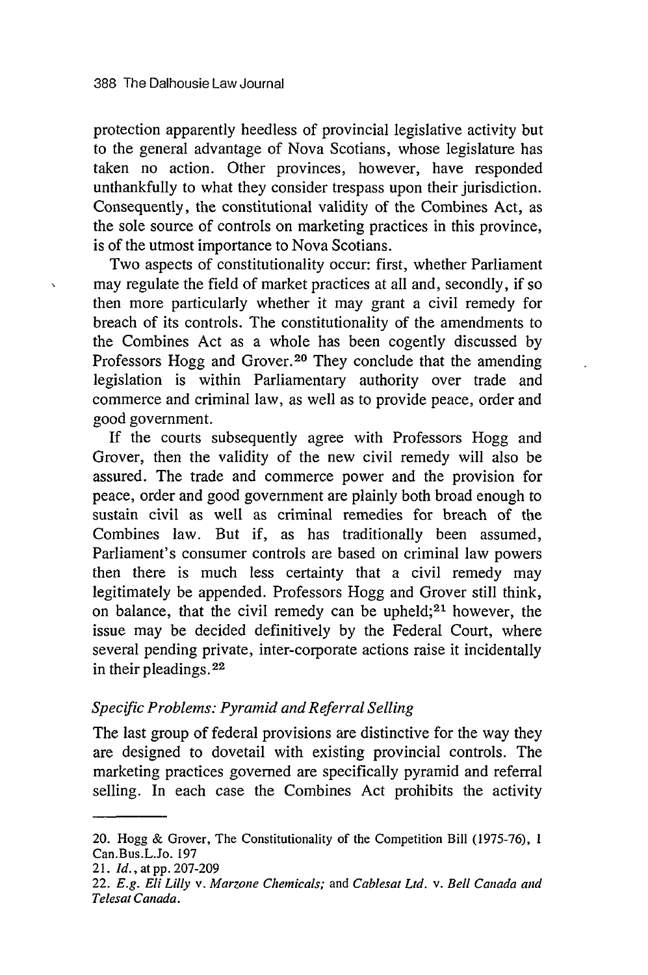protection apparently heedless of provincial legislative activity but to the general advantage of Nova Scotians, whose legislature has taken no action. Other provinces, however, have responded unthankfully to what they consider trespass upon their jurisdiction. Consequently, the constitutional validity of the Combines Act, as the sole source of controls on marketing practices in this province, is of the utmost importance to Nova Scotians.

Two aspects of constitutionality occur: first, whether Parliament may regulate the field of market practices at all and, secondly, if so then more particularly whether it may grant a civil remedy for breach of its controls. The constitutionality of the amendments to the Combines Act as a whole has been cogently discussed by Professors Hogg and Grover.<sup>20</sup> They conclude that the amending legislation is within Parliamentary authority over trade and commerce and criminal law, as well as to provide peace, order and good government.

If the courts subsequently agree with Professors Hogg and Grover, then the validity of the new civil remedy will also be assured. The trade and commerce power and the provision for peace, order and good government are plainly both broad enough to sustain civil as well as criminal remedies for breach of the Combines law. But if, as has traditionally been assumed, Parliament's consumer controls are based on criminal law powers then there is much less certainty that a civil remedy may legitimately be appended. Professors Hogg and Grover still think, on balance, that the civil remedy can be upheld; $21$  however, the issue may be decided definitively by the Federal Court, where several pending private, inter-corporate actions raise it incidentally in their pleadings. 22

#### *Specific Problems: Pyramid and Referral Selling*

The last group of federal provisions are distinctive for the way they are designed to dovetail with existing provincial controls. The marketing practices governed are specifically pyramid and referral selling. In each case the Combines Act prohibits the activity

<sup>20.</sup> Hogg & Grover, The Constitutionality of the Competition Bill (1975-76), 1 Can.Bus.L.Jo. 197

*<sup>21.</sup> Id.,* at **pp.** 207-209

<sup>22.</sup> *E.g. Eli Lilly v. Marzone Chemicals;* and *Cablesat Ltd. v. Bell Canada and Telesat Canada.*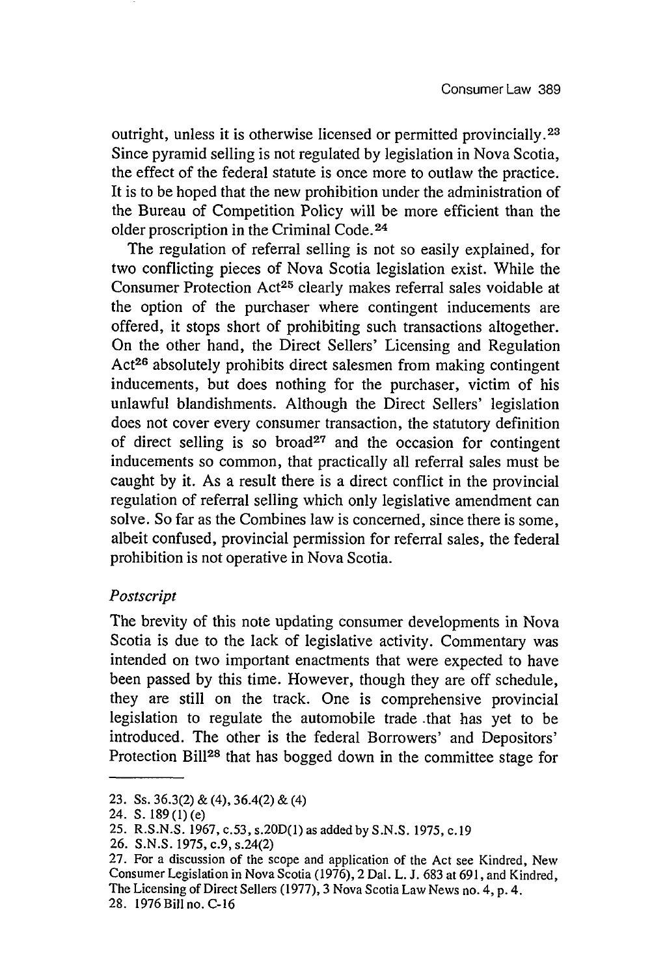outright, unless it is otherwise licensed or permitted provincially. <sup>23</sup> Since pyramid selling is not regulated by legislation in Nova Scotia, the effect of the federal statute is once more to outlaw the practice. It is to be hoped that the new prohibition under the administration of the Bureau of Competition Policy will be more efficient than the older proscription in the Criminal Code. **<sup>24</sup>**

The regulation of referral selling is not so easily explained, for two conflicting pieces of Nova Scotia legislation exist. While the Consumer Protection Act<sup>25</sup> clearly makes referral sales voidable at the option of the purchaser where contingent inducements are offered, it stops short of prohibiting such transactions altogether. On the other hand, the Direct Sellers' Licensing and Regulation Act<sup>26</sup> absolutely prohibits direct salesmen from making contingent inducements, but does nothing for the purchaser, victim of his unlawful blandishments. Although the Direct Sellers' legislation does not cover every consumer transaction, the statutory definition of direct selling is so broad<sup>27</sup> and the occasion for contingent inducements so common, that practically all referral sales must be caught by it. As a result there is a direct conflict in the provincial regulation of referral selling which only legislative amendment can solve. So far as the Combines law is concerned, since there is some, albeit confused, provincial permission for referral sales, the federal prohibition is not operative in Nova Scotia.

#### *Postscript*

The brevity of this note updating consumer developments in Nova Scotia is due to the lack of legislative activity. Commentary was intended on two important enactments that were expected to have been passed by this time. However, though they are off schedule, they are still on the track. One is comprehensive provincial legislation to regulate the automobile trade .that has yet to be introduced. The other is the federal Borrowers' and Depositors' Protection Bill<sup>28</sup> that has bogged down in the committee stage for

<sup>23.</sup> Ss. 36.3(2) & (4), 36.4(2) & (4)

<sup>24.</sup> S. 189 (1) (e)

<sup>25.</sup> R.S.N.S. 1967, c.53, s.20D(1) as added by S.N.S. 1975, c. 19

<sup>26.</sup> S.N.S. 1975, c.9, s.24(2)

<sup>27.</sup> For a discussion of the scope and application of the Act see Kindred, New Consumer Legislation in Nova Scotia (1976), 2 Dal. L. J. 683 at 691, and Kindred, The Licensing of Direct Sellers (1977), 3 Nova Scotia Law News no. 4, p. <sup>4</sup> . 28. 1976Billno.C-16